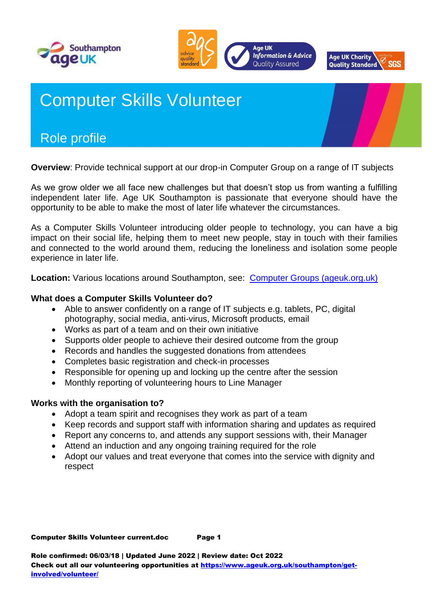





# Computer Skills Volunteer

## Role profile

**Overview**: Provide technical support at our drop-in Computer Group on a range of IT subjects

As we grow older we all face new challenges but that doesn't stop us from wanting a fulfilling independent later life. Age UK Southampton is passionate that everyone should have the opportunity to be able to make the most of later life whatever the circumstances.

As a Computer Skills Volunteer introducing older people to technology, you can have a big impact on their social life, helping them to meet new people, stay in touch with their families and connected to the world around them, reducing the loneliness and isolation some people experience in later life.

**Location:** Various locations around Southampton, see: [Computer Groups \(ageuk.org.uk\)](https://www.ageuk.org.uk/southampton/our-services/computer_groups/)

#### **What does a Computer Skills Volunteer do?**

- Able to answer confidently on a range of IT subjects e.g. tablets, PC, digital photography, social media, anti-virus, Microsoft products, email
- Works as part of a team and on their own initiative
- Supports older people to achieve their desired outcome from the group
- Records and handles the suggested donations from attendees
- Completes basic registration and check-in processes
- Responsible for opening up and locking up the centre after the session
- Monthly reporting of volunteering hours to Line Manager

#### **Works with the organisation to?**

- Adopt a team spirit and recognises they work as part of a team
- Keep records and support staff with information sharing and updates as required
- Report any concerns to, and attends any support sessions with, their Manager
- Attend an induction and any ongoing training required for the role
- Adopt our values and treat everyone that comes into the service with dignity and respect